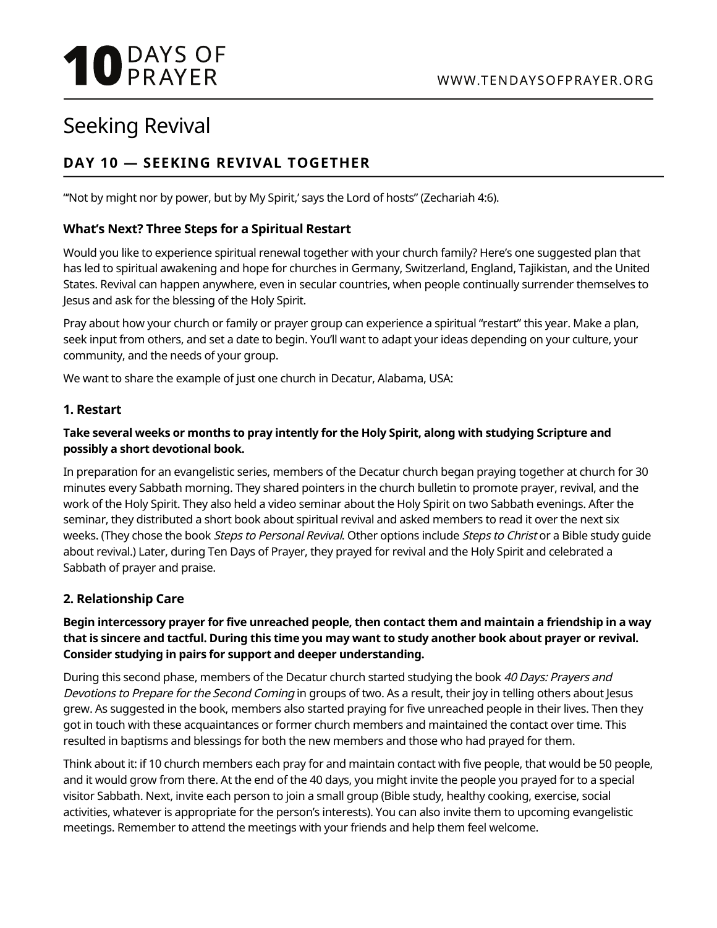# **10 DAYS OF**

## Seeking Revival

### **DAY 10 — SEEKING REVIVAL TOGETHER**

"'Not by might nor by power, but by My Spirit,' says the Lord of hosts" (Zechariah 4:6).

#### **What's Next? Three Steps for a Spiritual Restart**

Would you like to experience spiritual renewal together with your church family? Here's one suggested plan that has led to spiritual awakening and hope for churches in Germany, Switzerland, England, Tajikistan, and the United States. Revival can happen anywhere, even in secular countries, when people continually surrender themselves to Jesus and ask for the blessing of the Holy Spirit.

Pray about how your church or family or prayer group can experience a spiritual "restart" this year. Make a plan, seek input from others, and set a date to begin. You'll want to adapt your ideas depending on your culture, your community, and the needs of your group.

We want to share the example of just one church in Decatur, Alabama, USA:

#### **1. Restart**

#### **Take several weeks or months to pray intently for the Holy Spirit, along with studying Scripture and possibly a short devotional book.**

In preparation for an evangelistic series, members of the Decatur church began praying together at church for 30 minutes every Sabbath morning. They shared pointers in the church bulletin to promote prayer, revival, and the work of the Holy Spirit. They also held a video seminar about the Holy Spirit on two Sabbath evenings. After the seminar, they distributed a short book about spiritual revival and asked members to read it over the next six weeks. (They chose the book Steps to Personal Revival. Other options include Steps to Christ or a Bible study quide about revival.) Later, during Ten Days of Prayer, they prayed for revival and the Holy Spirit and celebrated a Sabbath of prayer and praise.

#### **2. Relationship Care**

#### **Begin intercessory prayer for five unreached people, then contact them and maintain a friendship in a way that is sincere and tactful. During this time you may want to study another book about prayer or revival. Consider studying in pairs for support and deeper understanding.**

During this second phase, members of the Decatur church started studying the book 40 Days: Prayers and Devotions to Prepare for the Second Coming in groups of two. As a result, their joy in telling others about Jesus grew. As suggested in the book, members also started praying for five unreached people in their lives. Then they got in touch with these acquaintances or former church members and maintained the contact over time. This resulted in baptisms and blessings for both the new members and those who had prayed for them.

Think about it: if 10 church members each pray for and maintain contact with five people, that would be 50 people, and it would grow from there. At the end of the 40 days, you might invite the people you prayed for to a special visitor Sabbath. Next, invite each person to join a small group (Bible study, healthy cooking, exercise, social activities, whatever is appropriate for the person's interests). You can also invite them to upcoming evangelistic meetings. Remember to attend the meetings with your friends and help them feel welcome.